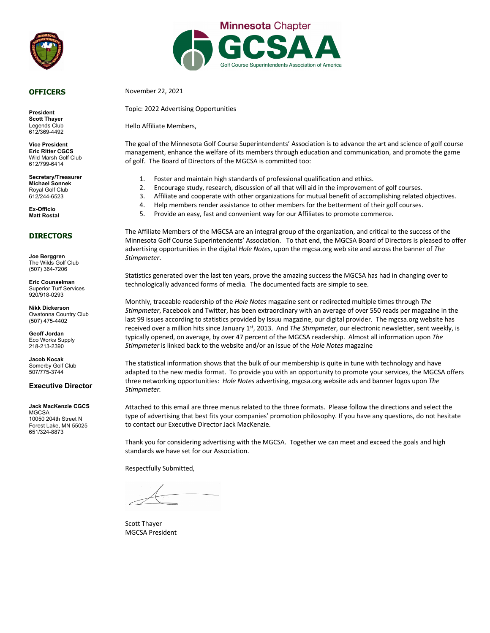

#### **OFFICERS**

**President Scott Thayer** Legends Club 612/369-4492

**Vice President Eric Ritter CGCS** Wild Marsh Golf Club 612/799-6414

**Secretary/Treasurer Michael Sonnek** Royal Golf Club 612/244-6523

**Ex-Officio Matt Rostal**

#### **DIRECTORS**

**Joe Berggren** The Wilds Golf Club (507) 364-7206

**Eric Counselman** Superior Turf Services 920/918-0293

**Nikk Dickerson** Owatonna Country Club (507) 475-4402

**Geoff Jordan** Eco Works Supply 218-213-2390

**Jacob Kocak** Somerby Golf Club 507/775-3744

#### **Executive Director**

**Jack MacKenzie CGCS MGCSA** 10050 204th Street N Forest Lake, MN 55025 651/324-8873



November 22, 2021

Topic: 2022 Advertising Opportunities

Hello Affiliate Members,

The goal of the Minnesota Golf Course Superintendents' Association is to advance the art and science of golf course management, enhance the welfare of its members through education and communication, and promote the game of golf. The Board of Directors of the MGCSA is committed too:

- 1. Foster and maintain high standards of professional qualification and ethics.
- 2. Encourage study, research, discussion of all that will aid in the improvement of golf courses.
- 3. Affiliate and cooperate with other organizations for mutual benefit of accomplishing related objectives.
- 4. Help members render assistance to other members for the betterment of their golf courses.
- 5. Provide an easy, fast and convenient way for our Affiliates to promote commerce.

The Affiliate Members of the MGCSA are an integral group of the organization, and critical to the success of the Minnesota Golf Course Superintendents' Association. To that end, the MGCSA Board of Directors is pleased to offer advertising opportunities in the digital *Hole Notes*, upon the mgcsa.org web site and across the banner of *The Stimpmeter*.

Statistics generated over the last ten years, prove the amazing success the MGCSA has had in changing over to technologically advanced forms of media. The documented facts are simple to see.

Monthly, traceable readership of the *Hole Notes* magazine sent or redirected multiple times through *The Stimpmeter*, Facebook and Twitter, has been extraordinary with an average of over 550 reads per magazine in the last 99 issues according to statistics provided by Issuu magazine, our digital provider. The mgcsa.org website has received over a million hits since January 1st, 2013. And *The Stimpmeter*, our electronic newsletter, sent weekly, is typically opened, on average, by over 47 percent of the MGCSA readership. Almost all information upon *The Stimpmeter* is linked back to the website and/or an issue of the *Hole Notes* magazine

The statistical information shows that the bulk of our membership is quite in tune with technology and have adapted to the new media format. To provide you with an opportunity to promote your services, the MGCSA offers three networking opportunities: *Hole Notes* advertising, mgcsa.org website ads and banner logos upon *The Stimpmeter.*

Attached to this email are three menus related to the three formats. Please follow the directions and select the type of advertising that best fits your companies' promotion philosophy. If you have any questions, do not hesitate to contact our Executive Director Jack MacKenzie.

Thank you for considering advertising with the MGCSA. Together we can meet and exceed the goals and high standards we have set for our Association.

Respectfully Submitted,

Scott Thayer MGCSA President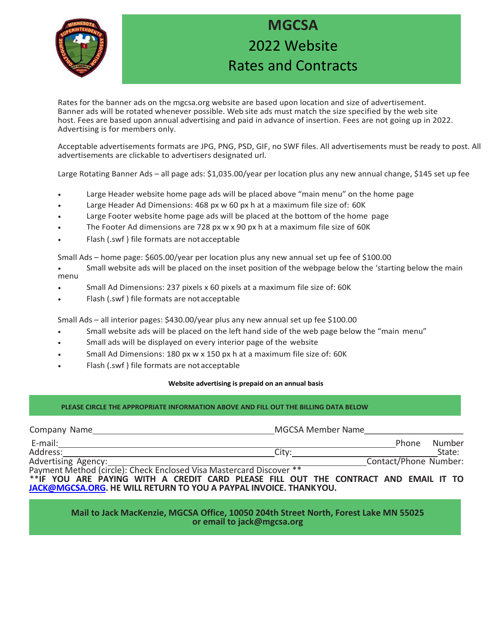

## **MGCSA** 2022 Website Rates and Contracts

Rates for the banner ads on the mgcsa.org website are based upon location and size of advertisement. Banner ads will be rotated whenever possible. Web site ads must match the size specified by the web site host. Fees are based upon annual advertising and paid in advance of insertion. Fees are not going up in 2022. Advertising is for members only.

Acceptable advertisements formats are JPG, PNG, PSD, GIF, no SWF files. All advertisements must be ready to post. All advertisements are clickable to advertisers designated url.

Large Rotating Banner Ads – all page ads: \$1,035.00/year per location plus any new annual change, \$145 set up fee

- Large Header website home page ads will be placed above "main menu" on the home page
- Large Header Ad Dimensions: 468 px w 60 px h at a maximum file size of: 60K
- Large Footer website home page ads will be placed at the bottom of the home page
- The Footer Ad dimensions are 728 px w x 90 px h at a maximum file size of 60K
- Flash (.swf ) file formats are not acceptable

Small Ads – home page: \$605.00/year per location plus any new annual set up fee of \$100.00

- Small website ads will be placed on the inset position of the webpage below the 'starting below the main menu
- Small Ad Dimensions: 237 pixels x 60 pixels at a maximum file size of: 60K
- Flash (.swf ) file formats are not acceptable

Small Ads – all interior pages: \$430.00/year plus any new annual set up fee \$100.00

- Small website ads will be placed on the left hand side of the web page below the "main menu"
- Small ads will be displayed on every interior page of the website
- Small Ad Dimensions: 180 px w x 150 px h at a maximum file size of: 60K
- Flash (.swf ) file formats are not acceptable

#### **Website advertising is prepaid on an annual basis**

#### **PLEASE CIRCLE THE APPROPRIATE INFORMATION ABOVE AND FILL OUT THE BILLING DATA BELOW**

| Company Name                                                                        | <b>MGCSA Member Name</b> |                       |        |
|-------------------------------------------------------------------------------------|--------------------------|-----------------------|--------|
| E-mail:                                                                             |                          | Phone                 | Number |
| Address:                                                                            | City:                    |                       | State: |
| Advertising Agency:                                                                 |                          | Contact/Phone Number: |        |
| Payment Method (circle): Check Enclosed Visa Mastercard Discover **                 |                          |                       |        |
| **IF YOU ARE PAYING WITH A CREDIT CARD PLEASE FILL OUT THE CONTRACT AND EMAIL IT TO |                          |                       |        |

**JACK@MGCSA.ORG. HE WILL RETURN TO YOU A PAYPAL INVOICE. THANKYOU.**

#### **Mail to Jack MacKenzie, MGCSA Office, 10050 204th Street North, Forest Lake MN 55025 or email to jack@mgcsa.org**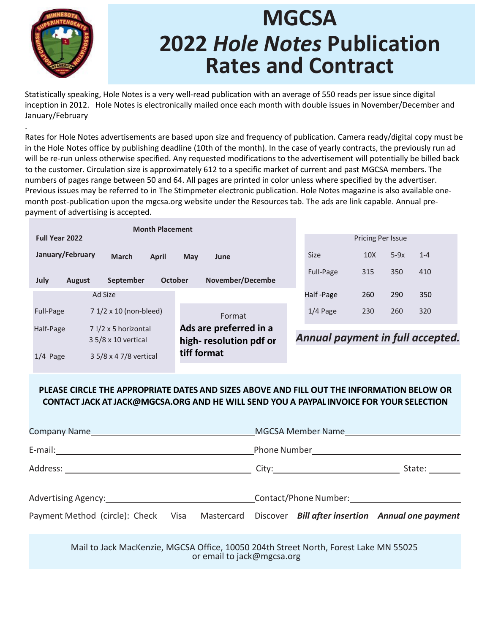

.

# **MGCSA 2022** *Hole Notes* **Publication Rates and Contract**

Statistically speaking, Hole Notes is a very well-read publication with an average of 550 reads per issue since digital inception in 2012. Hole Notes is electronically mailed once each month with double issues in November/December and January/February

Rates for Hole Notes advertisements are based upon size and frequency of publication. Camera ready/digital copy must be in the Hole Notes office by publishing deadline (10th of the month). In the case of yearly contracts, the previously run ad will be re-run unless otherwise specified. Any requested modifications to the advertisement will potentially be billed back to the customer. Circulation size is approximately 612 to a specific market of current and past MGCSA members. The numbers of pages range between 50 and 64. All pages are printed in color unless where specified by the advertiser. Previous issues may be referred to in The Stimpmeter electronic publication. Hole Notes magazine is also available onemonth post-publication upon the mgcsa.org website under the Resources tab. The ads are link capable. Annual prepayment of advertising is accepted.

| <b>Month Placement</b>                           |                                    |                                  |                   |        |         |
|--------------------------------------------------|------------------------------------|----------------------------------|-------------------|--------|---------|
| <b>Full Year 2022</b>                            |                                    |                                  | Pricing Per Issue |        |         |
| January/February<br><b>March</b><br><b>April</b> | May<br>June                        | <b>Size</b>                      | 10 <sub>X</sub>   | $5-9x$ | $1 - 4$ |
| July<br>September<br><b>August</b>               | November/Decembe<br><b>October</b> | Full-Page                        | 315               | 350    | 410     |
| Ad Size                                          |                                    | Half-Page                        | 260               | 290    | 350     |
| 7 1/2 x 10 (non-bleed)<br>Full-Page              | Format                             | $1/4$ Page                       | 230               | 260    | 320     |
| Half-Page<br>7 !/2 x 5 horizontal                | Ads are preferred in a             |                                  |                   |        |         |
| 3 5/8 x 10 vertical                              | high-resolution pdf or             | Annual payment in full accepted. |                   |        |         |
| 3 5/8 x 4 7/8 vertical<br>$1/4$ Page             | tiff format                        |                                  |                   |        |         |

### **PLEASE CIRCLE THE APPROPRIATE DATES AND SIZES ABOVE AND FILL OUT THE INFORMATION BELOW OR CONTACT JACK AT JACK@MGCSA.ORG AND HE WILL SEND YOU A PAYPAL INVOICE FOR YOUR SELECTION**

|                                                                                                                                                                                                |  |  |  | MGCSA Member Name |              |
|------------------------------------------------------------------------------------------------------------------------------------------------------------------------------------------------|--|--|--|-------------------|--------------|
|                                                                                                                                                                                                |  |  |  |                   |              |
|                                                                                                                                                                                                |  |  |  |                   | State: _____ |
| Advertising Agency: 1990 Material Contact/Phone Number: 1991 Material Contact/Phone Number:<br>Payment Method (circle): Check Visa Mastercard Discover Bill after insertion Annual one payment |  |  |  |                   |              |
|                                                                                                                                                                                                |  |  |  |                   |              |

Mail to Jack MacKenzie, MGCSA Office, 10050 204th Street North, Forest Lake MN 55025 or email to jack@mgcsa.org